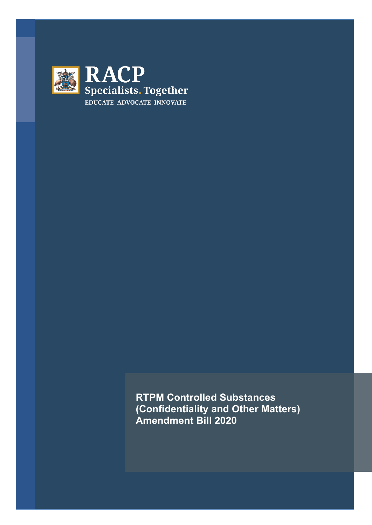

**RTPM Controlled Substances (Confidentiality and Other Matters) Amendment Bill 2020**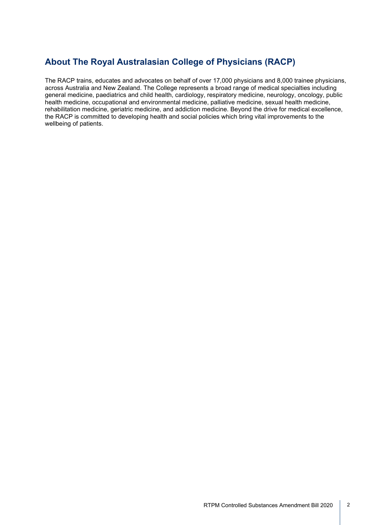## **About The Royal Australasian College of Physicians (RACP)**

The RACP trains, educates and advocates on behalf of over 17,000 physicians and 8,000 trainee physicians, across Australia and New Zealand. The College represents a broad range of medical specialties including general medicine, paediatrics and child health, cardiology, respiratory medicine, neurology, oncology, public health medicine, occupational and environmental medicine, palliative medicine, sexual health medicine, rehabilitation medicine, geriatric medicine, and addiction medicine. Beyond the drive for medical excellence, the RACP is committed to developing health and social policies which bring vital improvements to the wellbeing of patients.